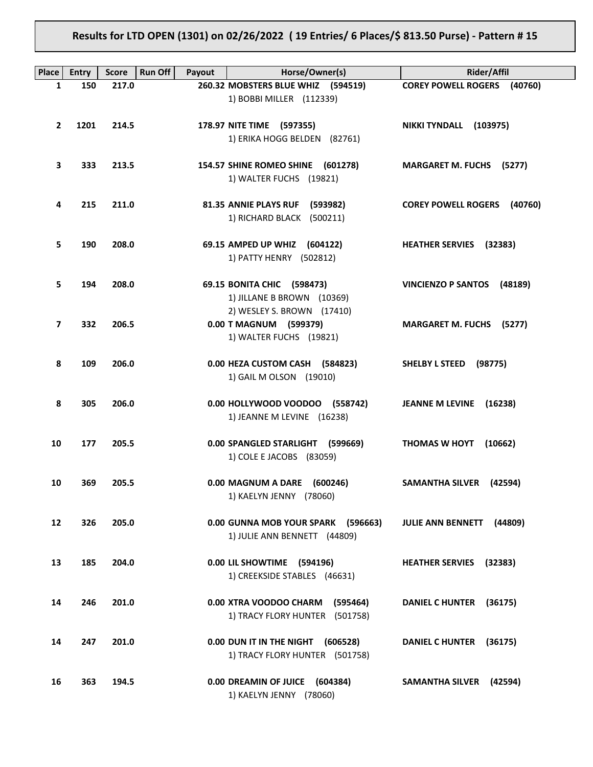# **Results for LTD OPEN (1301) on 02/26/2022 ( 19 Entries/ 6 Places/\$ 813.50 Purse) - Pattern # 15**

| <b>Place</b>   | <b>Entry</b> | <b>Score</b> | Run Off<br>Payout | Horse/Owner(s)                                         | <b>Rider/Affil</b>                  |
|----------------|--------------|--------------|-------------------|--------------------------------------------------------|-------------------------------------|
| 1              | 150          | 217.0        |                   | 260.32 MOBSTERS BLUE WHIZ (594519)                     | <b>COREY POWELL ROGERS (40760)</b>  |
|                |              |              |                   | 1) BOBBI MILLER (112339)                               |                                     |
|                |              |              |                   |                                                        |                                     |
| $\mathbf{2}$   | 1201         | 214.5        |                   | 178.97 NITE TIME (597355)                              | NIKKI TYNDALL (103975)              |
|                |              |              |                   | 1) ERIKA HOGG BELDEN (82761)                           |                                     |
|                |              |              |                   |                                                        |                                     |
| 3              | 333          | 213.5        |                   | 154.57 SHINE ROMEO SHINE (601278)                      | <b>MARGARET M. FUCHS (5277)</b>     |
|                |              |              |                   | 1) WALTER FUCHS (19821)                                |                                     |
| 4              | 215          | 211.0        |                   | 81.35 ANNIE PLAYS RUF (593982)                         | <b>COREY POWELL ROGERS (40760)</b>  |
|                |              |              |                   | 1) RICHARD BLACK (500211)                              |                                     |
|                |              |              |                   |                                                        |                                     |
| 5              | 190          | 208.0        |                   | 69.15 AMPED UP WHIZ (604122)                           | <b>HEATHER SERVIES</b> (32383)      |
|                |              |              |                   | 1) PATTY HENRY (502812)                                |                                     |
|                |              |              |                   |                                                        |                                     |
| 5              | 194          | 208.0        |                   | 69.15 BONITA CHIC (598473)                             | VINCIENZO P SANTOS (48189)          |
|                |              |              |                   | 1) JILLANE B BROWN (10369)                             |                                     |
|                |              |              |                   | 2) WESLEY S. BROWN (17410)                             |                                     |
| $\overline{7}$ | 332          | 206.5        |                   | 0.00 T MAGNUM (599379)                                 | <b>MARGARET M. FUCHS (5277)</b>     |
|                |              |              |                   | 1) WALTER FUCHS (19821)                                |                                     |
| 8              | 109          | 206.0        |                   | 0.00 HEZA CUSTOM CASH (584823)                         | <b>SHELBY L STEED</b><br>(98775)    |
|                |              |              |                   | 1) GAIL M OLSON (19010)                                |                                     |
|                |              |              |                   |                                                        |                                     |
| 8              | 305          | 206.0        |                   | 0.00 HOLLYWOOD VOODOO (558742)                         | JEANNE M LEVINE (16238)             |
|                |              |              |                   | 1) JEANNE M LEVINE (16238)                             |                                     |
|                |              |              |                   |                                                        |                                     |
| 10             | 177          | 205.5        |                   | 0.00 SPANGLED STARLIGHT (599669)                       | <b>THOMAS W HOYT</b><br>(10662)     |
|                |              |              |                   | 1) COLE E JACOBS (83059)                               |                                     |
| 10             | 369          | 205.5        |                   |                                                        |                                     |
|                |              |              |                   | 0.00 MAGNUM A DARE (600246)<br>1) KAELYN JENNY (78060) | SAMANTHA SILVER (42594)             |
|                |              |              |                   |                                                        |                                     |
| 12             | 326          | 205.0        |                   | 0.00 GUNNA MOB YOUR SPARK (596663)                     | <b>JULIE ANN BENNETT</b><br>(44809) |
|                |              |              |                   | 1) JULIE ANN BENNETT (44809)                           |                                     |
|                |              |              |                   |                                                        |                                     |
| 13             | 185          | 204.0        |                   | 0.00 LIL SHOWTIME (594196)                             | <b>HEATHER SERVIES</b><br>(32383)   |
|                |              |              |                   | 1) CREEKSIDE STABLES (46631)                           |                                     |
|                |              |              |                   |                                                        |                                     |
| 14             | 246          | 201.0        |                   | 0.00 XTRA VOODOO CHARM<br>(595464)                     | <b>DANIEL C HUNTER</b><br>(36175)   |
|                |              |              |                   | 1) TRACY FLORY HUNTER (501758)                         |                                     |
| 14             | 247          | 201.0        |                   | 0.00 DUN IT IN THE NIGHT (606528)                      | <b>DANIEL C HUNTER</b><br>(36175)   |
|                |              |              |                   | 1) TRACY FLORY HUNTER (501758)                         |                                     |
|                |              |              |                   |                                                        |                                     |
| 16             | 363          | 194.5        |                   | 0.00 DREAMIN OF JUICE<br>(604384)                      | <b>SAMANTHA SILVER</b><br>(42594)   |
|                |              |              |                   | 1) KAELYN JENNY (78060)                                |                                     |
|                |              |              |                   |                                                        |                                     |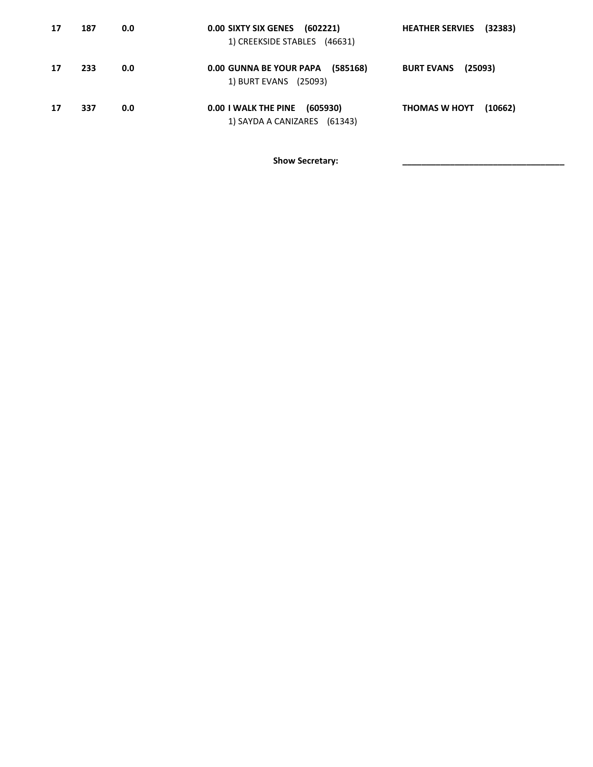| 17 | 187 | 0.0 | 0.00 SIXTY SIX GENES (602221)<br>1) CREEKSIDE STABLES (46631)    | <b>HEATHER SERVIES</b><br>(32383) |
|----|-----|-----|------------------------------------------------------------------|-----------------------------------|
| 17 | 233 | 0.0 | 0.00 GUNNA BE YOUR PAPA (585168)<br>1) BURT EVANS (25093)        | (25093)<br><b>BURT EVANS</b>      |
| 17 | 337 | 0.0 | 0.00 I WALK THE PINE<br>(605930)<br>1) SAYDA A CANIZARES (61343) | <b>THOMAS W HOYT</b><br>(10662)   |

Show Secretary: